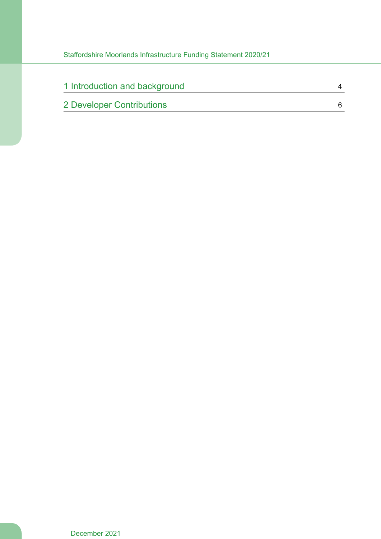| 1 Introduction and background |  |
|-------------------------------|--|
| 2 Developer Contributions     |  |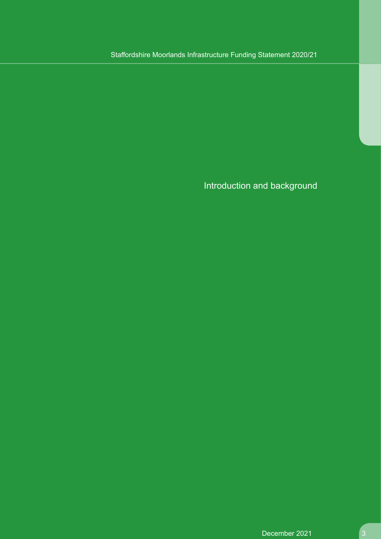Introduction and background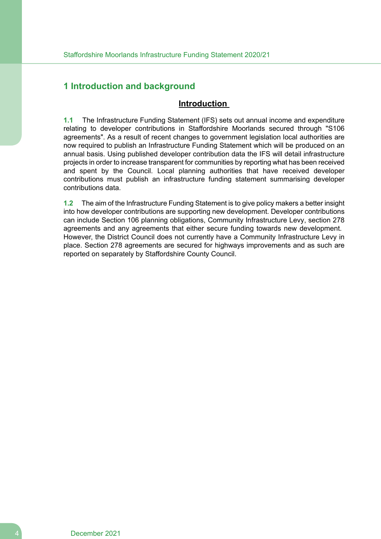#### <span id="page-3-0"></span>**1 Introduction and background**

#### **Introduction**

**1.1** The Infrastructure Funding Statement (IFS) sets out annual income and expenditure relating to developer contributions in Staffordshire Moorlands secured through "S106 agreements". As a result of recent changes to government legislation local authorities are now required to publish an Infrastructure Funding Statement which will be produced on an annual basis. Using published developer contribution data the IFS will detail infrastructure projects in order to increase transparent for communities by reporting what has been received and spent by the Council. Local planning authorities that have received developer contributions must publish an infrastructure funding statement summarising developer contributions data.

**1.2** The aim of the Infrastructure Funding Statement is to give policy makers a better insight into how developer contributions are supporting new development. Developer contributions can include Section 106 planning obligations, Community Infrastructure Levy, section 278 agreements and any agreements that either secure funding towards new development. However, the District Council does not currently have a Community Infrastructure Levy in place. Section 278 agreements are secured for highways improvements and as such are reported on separately by Staffordshire County Council.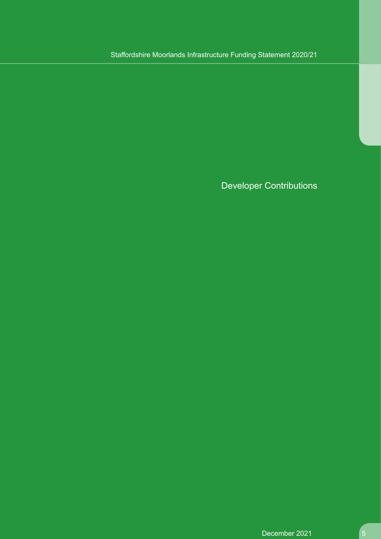Developer Contributions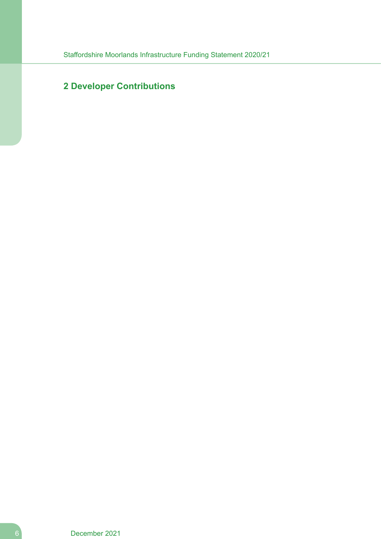### <span id="page-5-0"></span>**Developer Contributions**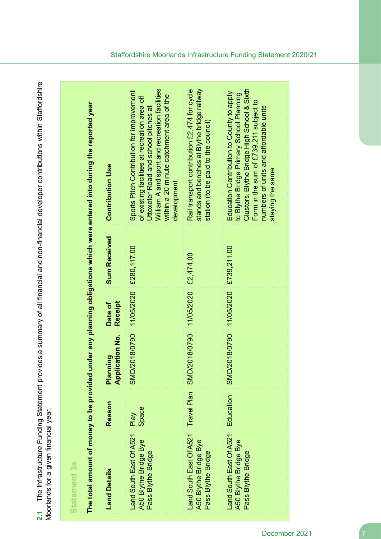| Ś<br>ides a summary of all financial and non-financial developer contributions within Stafford<br>ha Infractructure Eunding Statement nrow<br>שווישנש | ιε⊌ν Ιε                              |  |
|-------------------------------------------------------------------------------------------------------------------------------------------------------|--------------------------------------|--|
| .<br>גובה<br>גובה                                                                                                                                     | e tor a nin navit s<br><b>リニスコ う</b> |  |
|                                                                                                                                                       | i<br>S<br>i<br>(                     |  |
|                                                                                                                                                       |                                      |  |

# **Statement 3a**

The total amount of money to be provided under any planning obligations which were entered into during the reported year The total amount of money to be provided under any planning obligations which were entered into during the reported year

| <b>Land Details</b>                                                    | Reason        | <b>Application No.</b><br>ning<br>Planr | <b>Receipt</b><br>Date of | <b>Sum Received</b>    | <b>Contribution Use</b>                                                                                                                                                                                                                         |
|------------------------------------------------------------------------|---------------|-----------------------------------------|---------------------------|------------------------|-------------------------------------------------------------------------------------------------------------------------------------------------------------------------------------------------------------------------------------------------|
| Land South East Of A521<br>A50 Blythe Bridge Bye<br>Pass Blythe Bridge | Space<br>Play | <b>SMD/2018/0790</b>                    | 11/05/2020 £280,117.00    |                        | William A and sport and recreation facilities<br>Sports Pitch Contribution for improvement<br>within a 20 minute catchment area of the<br>of existing facilities at recreation area off<br>Uttoxeter Road and school pitches at<br>development. |
| Land South East Of A521<br>A50 Blythe Bridge Bye<br>Pass Blythe Bridge |               | Travel Plan SMD/2018/0790               | 11/05/2020 £2,474.00      |                        | stands and benches at Blythe bridge railway<br>Rail transport contribution £2,474 for cycle<br>station (to be paid to the council)                                                                                                              |
| Land South East Of A521<br>A50 Blythe Bridge Bye<br>Pass Blythe Bridge | Education     | SMD/2018/0790                           |                           | 11/05/2020 £739,211.00 | Clusters, Blythe Bridge High School & Sixth<br>Education Contribution to County to apply<br>to Blythe Bridge Primary School Planning<br>Form in the sum of £739,211 subject to<br>numbers of units and affordable units<br>staying the same.    |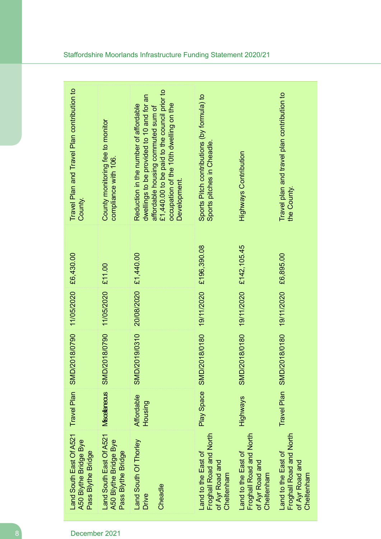| Travel Plan and Travel Plan contribution to<br>County.                 | County monitoring fee to monitor<br>compliance with 106.               | £1,440.00 to be paid to the council prior to<br>dwellings to be provided to 10 and for an<br>occupation of the 10th dwelling on the<br>Reduction in the number of affordable<br>affordable housing commuted sum of<br>Development. | Sports Pitch contributions (by formula) to<br>Sports pitches in Cheadle.        | <b>Highways Contribution</b>                                                    | Travel plan and travel plan contribution to<br>the County.                      |
|------------------------------------------------------------------------|------------------------------------------------------------------------|------------------------------------------------------------------------------------------------------------------------------------------------------------------------------------------------------------------------------------|---------------------------------------------------------------------------------|---------------------------------------------------------------------------------|---------------------------------------------------------------------------------|
| £6,430.00                                                              | £11.00                                                                 | £1,440.00                                                                                                                                                                                                                          | 19/11/2020 £196,390.08                                                          | 19/11/2020 £142,105.45                                                          | £6,895.00                                                                       |
| 11/05/2020                                                             | 11/05/2020                                                             | 20/08/2020                                                                                                                                                                                                                         |                                                                                 |                                                                                 | 19/11/2020                                                                      |
| SMD/2018/0790                                                          | SMD/2018/0790                                                          | SMD/2019/0310                                                                                                                                                                                                                      | SMD/2018/0180                                                                   | SMD/2018/0180                                                                   | SMD/2018/0180                                                                   |
| Travel Plan                                                            | <b>Miscelaneous</b>                                                    | Affordable<br>Housing                                                                                                                                                                                                              | Play Space                                                                      | Highways                                                                        | <b>Travel Plan</b>                                                              |
| Land South East Of A521<br>A50 Blythe Bridge Bye<br>Pass Blythe Bridge | Land South East Of A521<br>A50 Blythe Bridge Bye<br>Pass Blythe Bridge | Land South Of Thorley<br>Cheadle<br>Drive                                                                                                                                                                                          | Froghall Road and North<br>Land to the East of<br>of Ayr Road and<br>Cheltenham | Froghall Road and North<br>Land to the East of<br>of Ayr Road and<br>Cheltenham | Froghall Road and North<br>Land to the East of<br>of Ayr Road and<br>Cheltenham |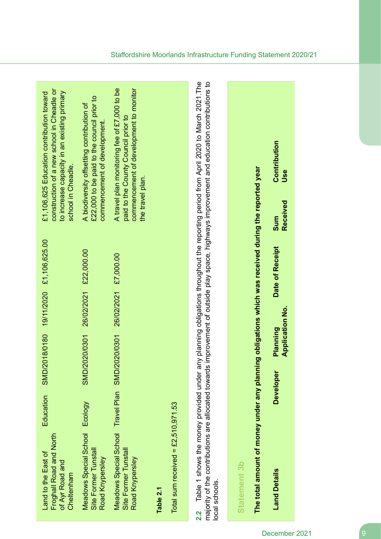| construction of a new school in Cheadle or<br>to increase capacity in an existing primary<br>£1,106,625 Education contribution toward<br>£22,000 to be paid to the council prior to<br>A biodiversity offsetting contribution of<br>school in Cheadle. | A travel plan monitoring fee of £7,000 to be<br>commencement of development to monitor<br>paid to the County Council prior to<br>commencement of development. |                                                   |                                                                                                                                                                                                                                                                                                          | Contribution<br>Use                                                                                                                                |
|--------------------------------------------------------------------------------------------------------------------------------------------------------------------------------------------------------------------------------------------------------|---------------------------------------------------------------------------------------------------------------------------------------------------------------|---------------------------------------------------|----------------------------------------------------------------------------------------------------------------------------------------------------------------------------------------------------------------------------------------------------------------------------------------------------------|----------------------------------------------------------------------------------------------------------------------------------------------------|
|                                                                                                                                                                                                                                                        | the travel plan.                                                                                                                                              |                                                   |                                                                                                                                                                                                                                                                                                          | Received<br>Sum                                                                                                                                    |
| £1,106,625.00                                                                                                                                                                                                                                          | £7,000.00                                                                                                                                                     |                                                   |                                                                                                                                                                                                                                                                                                          | Date of Receipt                                                                                                                                    |
| 26/02/2021 £22,000.00<br>19/11/2020                                                                                                                                                                                                                    | 26/02/2021                                                                                                                                                    |                                                   |                                                                                                                                                                                                                                                                                                          |                                                                                                                                                    |
| SMD/2018/0180<br>SMD/2020/0301                                                                                                                                                                                                                         | SMD/2020/0301                                                                                                                                                 |                                                   |                                                                                                                                                                                                                                                                                                          | <b>Application No.</b><br>Planning                                                                                                                 |
| Education<br>Ecology                                                                                                                                                                                                                                   | <b>Travel Plan</b>                                                                                                                                            |                                                   |                                                                                                                                                                                                                                                                                                          | <b>Developer</b>                                                                                                                                   |
| <b>Meadows Special School</b><br>Froghall Road and North<br>Site Former Tunstall<br>Land to the East of<br>of Ayr Road and<br>Cheltenham                                                                                                               | Meadows Special School<br>Site Former Tunstall<br>Road Knypersley<br>Road Knypersley                                                                          | Total sum received = $£2,510,971.53$<br>Table 2.1 | Table 1 shows the money provided under any planning obligations throughout the reporting period from April 2020 to March 2021.The<br>majority of the contributions are allocated towards improvement of outside play space, highways improvement and education contributions to<br>local schools.<br>2.2 | The total amount of money under any planning obligations which was received during the reported year<br><b>Statement 3b</b><br><b>Land Details</b> |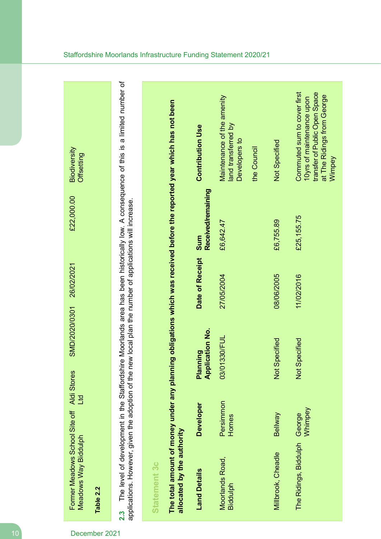| Biodiversity<br>Offsetting                                                      | The level of development in the Staffordshire Moorlands area has been historically low. A consequence of this is a limited number of | The total amount of money under any planning obligations which was received before the reported year which has not been | <b>Contribution Use</b>            | Maintenance of the amenity<br>land transferred by<br>Developers to | the Council | Not Specified              | Commuted sum to cover first<br>transfer of Public Open Space<br>at The Ridings from George<br>10yrs of maintenance upon<br>Wimpey |
|---------------------------------------------------------------------------------|--------------------------------------------------------------------------------------------------------------------------------------|-------------------------------------------------------------------------------------------------------------------------|------------------------------------|--------------------------------------------------------------------|-------------|----------------------------|-----------------------------------------------------------------------------------------------------------------------------------|
| £22,000.00                                                                      |                                                                                                                                      |                                                                                                                         | Received/remaining<br>sum          | £6,642.47                                                          |             | £6,755.89                  | £25,155.75                                                                                                                        |
| 26/02/2021                                                                      | new local plan the number of applications will increase.                                                                             |                                                                                                                         | Date of Receipt                    | 27/05/2004                                                         |             | 08/06/2005                 | 11/02/2016                                                                                                                        |
| SMD/2020/0301                                                                   |                                                                                                                                      |                                                                                                                         | <b>Application No.</b><br>Planning | 03/01330/FUL                                                       |             | Specified<br>$\frac{1}{2}$ | Specified<br>$\frac{1}{2}$                                                                                                        |
| Ltd                                                                             |                                                                                                                                      |                                                                                                                         | <b>Developer</b>                   | Persimmon<br>Homes                                                 |             | Bellway                    | Whimpey<br>George                                                                                                                 |
| Former Meadows School Site off Aldi Stores<br>Meadows Way Biddulph<br>Table 2.2 | applications. However, given the adoption of the<br><u>ุว.3</u>                                                                      | allocated by the authority<br><b>Statement 3c</b>                                                                       | <b>Land Details</b>                | Moorlands Road,<br>Biddulph                                        |             | Millbrook, Cheadle         | The Ridings, Biddulph                                                                                                             |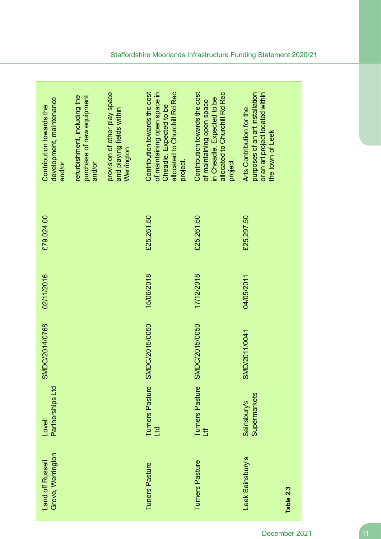| development, maintenance              | purchase of new equipment<br>refurbishment, including the | provision of other play space           | of maintaining open space in<br>allocated to Churchill Rd Rec<br>Contribution towards the cost | Contribution towards the cost<br>allocated to Churchill Rd Rec<br>in Cheadle. Expected to be<br>of maintaining open space | purposes of an art installation<br>or an art project located within |
|---------------------------------------|-----------------------------------------------------------|-----------------------------------------|------------------------------------------------------------------------------------------------|---------------------------------------------------------------------------------------------------------------------------|---------------------------------------------------------------------|
| Contribution towards the<br>and/or    | and/or                                                    | and playing fields within<br>Werrington | Cheadle. Expected to be<br>project.                                                            | project.                                                                                                                  | Arts Contribution for the<br>the town of Leek                       |
| £79,024.00                            |                                                           |                                         | £25,261.50                                                                                     | £25,261.50                                                                                                                | £25,297.50                                                          |
| 02/11/2016                            |                                                           |                                         | 15/06/2018                                                                                     | 17/12/2018                                                                                                                | 04/05/2011                                                          |
| SMDC/2014/0768                        |                                                           |                                         | SMDC/2015/0050                                                                                 | SMDC/2015/0050                                                                                                            | SMD/2011/0041                                                       |
| Partnerships Ltd<br>Lovell            |                                                           |                                         | Turners Pasture<br>PTT                                                                         | Turners Pasture<br>Ltf                                                                                                    | Supermarkets<br>Sainsbury's                                         |
| Grove, Werrington<br>Land off Russell |                                                           |                                         | <b>Tuners Pasture</b>                                                                          | Turners Pasture                                                                                                           | Leek Sainsbury's                                                    |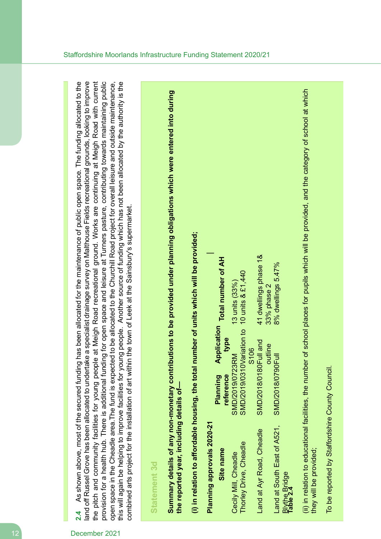land off Russel Grove has been allocated to undertake a specialist drainage survey on Malthouse Fields recreational grounds, looking to improve this will again be helping to improve facilities for young people. Another source of funding which has not been allocated by the authority is the As shown above, most of the secured funding has been allocated for the maintenance of public open space. The funding allocated to the the pitch and community facilities for young people at Meigh Road recreational ground. Works are continuing at Meigh Road with current provision for a health hub. There is additional funding for open space and leisure at Turners pasture, contributing towards maintaining public **2.4** As shown above, most of the secured funding has been allocated for the maintenance of public open space. The funding allocated to the land off Russel Grove has been allocated to undertake a specialist drainage survey on Malthouse Fields recreational grounds, looking to improve the pitch and community facilities for young people at Meigh Road recreational ground. Works are continuing at Meigh Road with current provision for a health hub. There is additional funding for open space and leisure at Turners pasture, contributing towards maintaining public open space in the Cheadle area. The fund is expected to be allocated to the Churchill Road project for overall leisure and outside maintenance, this will again be helping to improve facilities for young people. Another source of funding which has not been allocated by the authority is the open space in the Cheadle area.The fund is expected to be allocated to the Churchill Road project for overall leisure and outside maintenance, combined arts project for the installation of art within the town of Leek at the Sainsbury's supermarket. combined arts project for the installation of art within the town of Leek at the Sainsbury's supermarket.  $2.4$ 

## **Statement 3d**

Summary details of any non-monetary contributions to be provided under planning obligations which were entered into during Summary details of any non-monetary contributions to be provided under planning obligations which were entered into during the reported year, including details of**the reported year, including details of—**

(i) in relation to affordable housing, the total number of units which will be provided; **(i) in relation to affordable housing, the total number of units which will be provided;**

| <b>^^^</b>  |
|-------------|
|             |
|             |
|             |
| ļ           |
|             |
|             |
| į           |
|             |
| i<br>C<br>C |
|             |
|             |
| י<br>פור    |
|             |
|             |
| ì           |
|             |
| ì           |
|             |
|             |
|             |

|                           |                                                              | 13 units (33%)       |                                             | 41 dwellings phase 1&                     | 33% phase 2 | 8% dwellings 5.47%                            |                            |
|---------------------------|--------------------------------------------------------------|----------------------|---------------------------------------------|-------------------------------------------|-------------|-----------------------------------------------|----------------------------|
|                           | Planning Application Total number of AH<br>type<br>reference | SMD/2019/0723RM      | SMD/2019/0310Variation to 10 units & £1,440 | SMD/2018/0180Full and<br>S <sub>106</sub> | outline     |                                               |                            |
| L 7-0707 sipholop filline | Site name                                                    | Cecily Mill, Cheadle | Thorley Drive, Cheadle                      | Land at Ayr Road, Cheadle                 |             | Land at South East of A521, SMD/2018/0790Full | Blythe Bridge<br>Table 2.4 |

(ii) in relation to educational facilities, the number of school places for pupils which will be provided, and the category of school at which (ii) in relation to educational facilities, the number of school places for pupils which will be provided, and the category of school at which they will be provided; they will be provided;

To be reported by Staffordshire County Council To be reported by Staffordshire County Council.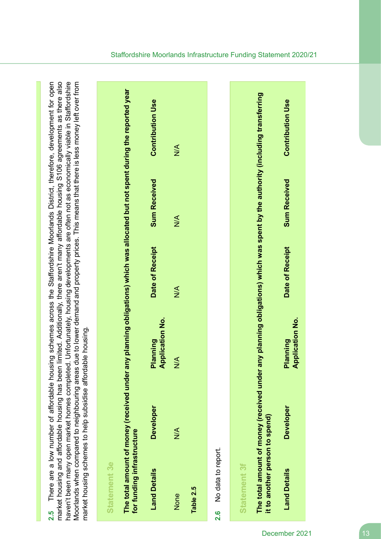market housing and affordable housing has been limited. Additionally, there aren't many affordable housing S106 agreements as there also haven't been many open market homes completed. Unfortunately, housing developments are often not as economically viable in Staffordshire Moorlands when compared to neighbouring areas due to lower demand and property prices. This means that there is less money left over from There are a low number of affordable housing schemes across the Staffordshire Moorlands District, therefore, development for open market housing and affordable housing has been limited. Additionally, there aren't many affordable housing S106 agreements as there also haven't been many open market homes completed. Unfortunately, housing developments are often not as economically viable in Staffordshire **2.5** There are a low number of affordable housing schemes across the Staffordshire Moorlands District, therefore, development for open Moorlands when compared to neighbouring areas due to lower demand and property prices. This means that there is less money left over from<br>model to accompared to neighbouring areas due to lower demand and property prices. T market housing schemes to help subsidise affordable housing. market housing schemes to help subsidise affordable housing.  $\frac{5}{24}$ 

## **Statement 3e**

The total amount of money (received under any planning obligations) which was allocated but not spent during the reported year The total amount of money (received under any planning obligations) which was allocated but not spent during the reported year for funding infrastructure **for funding infrastructure**

| <b>Land Details</b>    | <b>Developer</b> | <b>Application No.</b><br>Planning | Date of Receipt | <b>Sum Received</b> | <b>Contribution Use</b> |
|------------------------|------------------|------------------------------------|-----------------|---------------------|-------------------------|
| None                   | $\frac{1}{2}$    | $\frac{4}{2}$                      | $\frac{1}{2}$   | $\frac{1}{2}$       | $\frac{4}{2}$           |
| Table 2.5              |                  |                                    |                 |                     |                         |
| 2.6 No data to report. |                  |                                    |                 |                     |                         |

### **Statement 3f Statement 3f**

The total amount of money (received under any planning obligations) which was spent by the authority (including transferring The total amount of money (received under any planning obligations) which was spent by the authority (including transferring it to another person to spend) **it to another person to spend)**

| Contribution Use                  |  |
|-----------------------------------|--|
| <b>Sum Received</b>               |  |
| <b>Date of Receipy</b>            |  |
| pplication No.<br><b>Planning</b> |  |
| doperato                          |  |
| and Detail:                       |  |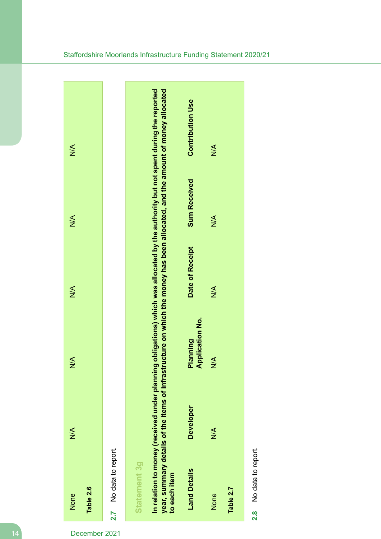

No data to report. **2.8** No data to report.  $2.\overline{8}$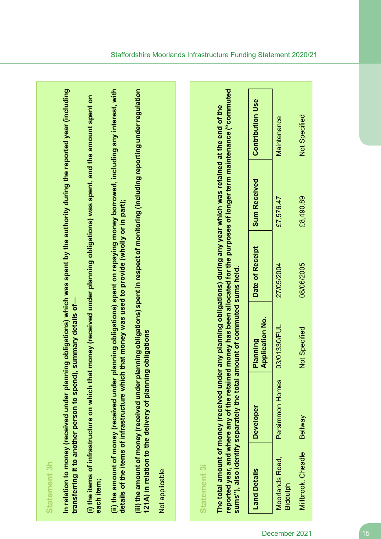| ٠ |
|---|
|   |
|   |
|   |
|   |

n relation to money (received under planning obligations) which was spent by the authority during the reported year (including In relation to money (received under planning obligations) which was spent by the authority during the reported year (including transferring it to another person to spend), summary details of**transferring it to another person to spend), summary details of—**

(i) the items of infrastructure on which that money (received under planning obligations) was spent, and the amount spent on (i) the items of infrastructure on which that money (received under planning obligations) was spent, and the amount spent on **each item;** (ii) the amount of money (received under planning obligations) spent on repaying money borrowed, including any interest, with (ii) the amount of money (received under planning obligations) spent on repaying money borrowed, including any interest, with details of the items of infrastructure which that money was used to provide (wholly or in part); **details of the items of infrastructure which that money was used to provide (wholly or in part);** (iii) the amount of money (received under planning obligations) spent in respect of monitoring (including reporting under regulation (iii) the amount of money (received under planning obligations) spent in respect of monitoring (including reporting under regulation 121A) in relation to the delivery of planning obligations **121A) in relation to the delivery of planning obligations**

Not applicable

### **Statement 3i Statement 3i**

reported year, and where any of the retained money has been allocated for the purposes of longer term maintenance ("commuted **reported year, and where any of the retained money has been allocated for the purposes of longer term maintenance ("commuted** The total amount of money (received under any planning obligations) during any year which was retained at the end of the The total amount of money (received under any planning obligations) during any year which was retained at the end of the sums"), also identify separately the total amount of commuted sums held. **sums"), also identify separately the total amount of commuted sums held.**

| <b>Land Details</b>                | <b>Developer</b>   | <b>Application No.</b><br><b>Planning</b> | <b>Date of Receipt</b> | <b>Sum Received</b> | <b>Contribution Use</b> |
|------------------------------------|--------------------|-------------------------------------------|------------------------|---------------------|-------------------------|
| <b>Moorlands Road,</b><br>Riddulph | Persimmon<br>Homes | 03/01330/FUL                              | 27/05/2004             | £7,576.47           | Maintenance             |
| <b><i>Millbrook, Cheadle</i></b>   | Bellway            | Not Specified                             | 08/06/2005             | £8,490.89           | Not Specified           |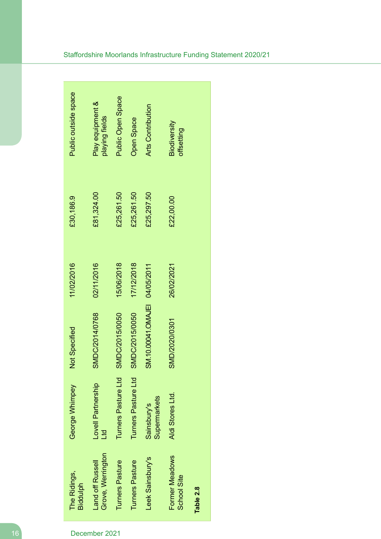| The Ridings,<br><b>Biddulph</b>       | George Whimpey               | Not Specified                 | 11/02/2016 | £30,186.9  | Public outside space               |
|---------------------------------------|------------------------------|-------------------------------|------------|------------|------------------------------------|
| Grove, Werrington<br>Land off Russell | Lovell Partnership<br>р<br>Н | SMDC/2014/0768                | 02/11/2016 | £81,324.00 | Play equipment &<br>playing fields |
| Turners Pasture                       | Turners Pasture Ltd          | SMDC/2015/0050                | 15/06/2018 | £25,261.50 | <b>Public Open Space</b>           |
| <b>Turners Pasture</b>                | Turners Pasture Ltd          | SMDC/2015/0050                | 17/12/2018 | £25,261.50 | <b>Open Space</b>                  |
| Leek Sainsbury's                      | Supermarkets<br>Sainsbury's  | SM.10.00041.OMAJEI 04/05/2011 |            | £25,297.50 | <b>Arts Contribution</b>           |
| Former Meadows<br>School Site         | Aldi Stores Ltd.             | SMD/2020/0301                 | 26/02/2021 | £22,00.00  | Biodiversity<br>offsetting         |
| Table 2.8                             |                              |                               |            |            |                                    |